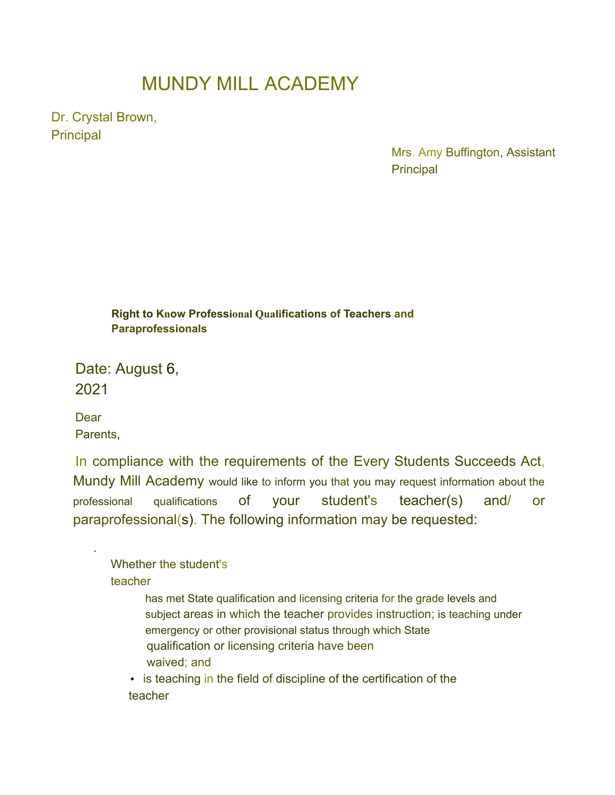## MUNDY MILL ACADEMY

Dr. Crystal Brown, **Principal** 

> Mrs. Amy Buffington, Assistant **Principal**

**Right to Know Professional Qualifications of Teachers and Paraprofessionals**

Date: August 6, 2021

**Dear** Parents,

.

In compliance with the requirements of the Every Students Succeeds Act, Mundy Mill Academy would like to inform you that you may request information about the professional qualifications of your student's teacher(s) and/ or paraprofessional(s). The following information may be requested:

Whether the student's teacher

> has met State qualification and licensing criteria for the grade levels and subject areas in which the teacher provides instruction; is teaching under emergency or other provisional status through which State qualification or licensing criteria have been waived; and

• is teaching in the field of discipline of the certification of the teacher.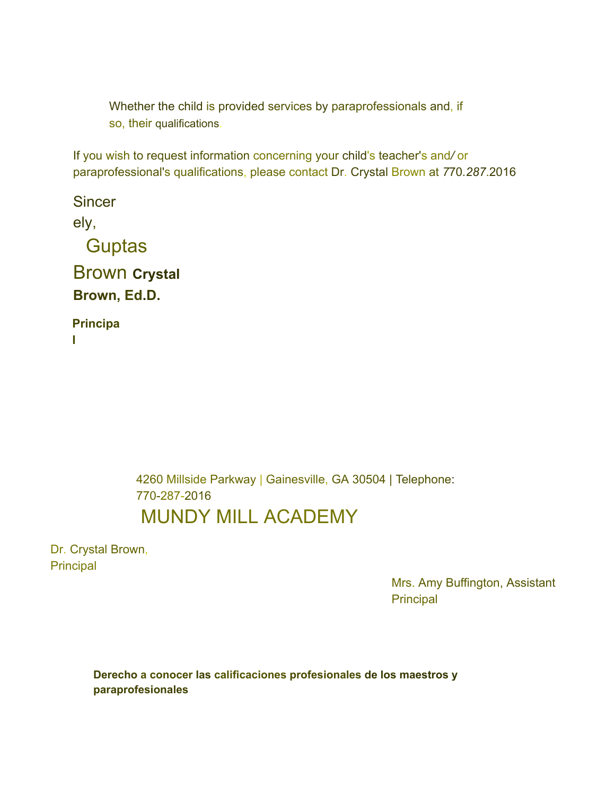Whether the child is provided services by paraprofessionals and, if so, their qualifications.

If you wish to request information concerning your child's teacher's and*/* or paraprofessional's qualifications, please contact Dr. Crystal Brown at *7*70*.287*.2016

**Sincer** ely, **Guptas** Brown **Crystal Brown, Ed.D. Principa**

**l**

4260 Millside Parkway | Gainesville, GA 30504 | Telephone: 770-287-2016 MUNDY MILL ACADEMY

Dr. Crystal Brown, Principal

> Mrs. Amy Buffington, Assistant **Principal**

**Derecho a conocer las calificaciones profesionales de los maestros y paraprofesionales**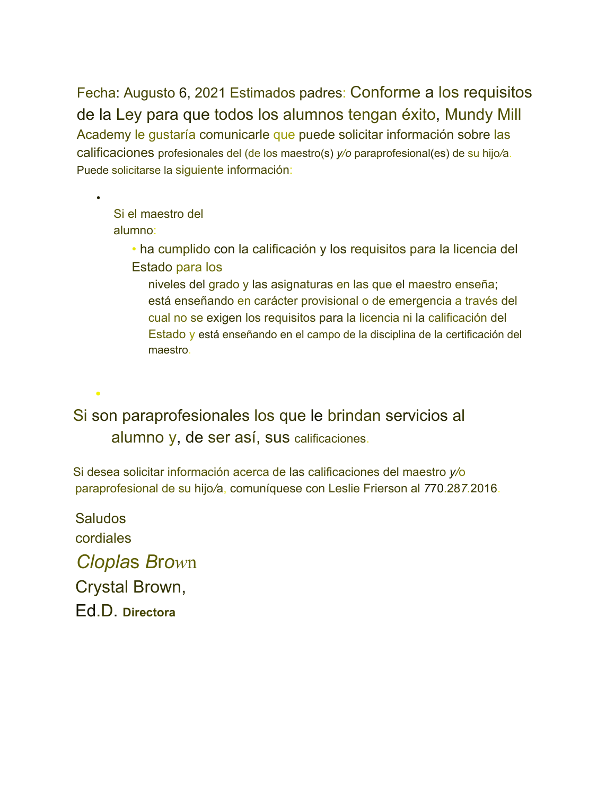Fecha: Augusto 6, 2021 Estimados padres: Conforme a los requisitos de la Ley para que todos los alumnos tengan éxito, Mundy Mill Academy le gustaría comunicarle que puede solicitar información sobre las calificaciones profesionales del (de los maestro(s) *y/o* paraprofesional(es) de su hijo*/*a. Puede solicitarse la siguiente información:

Si el maestro del alumno:

•

•

• ha cumplido con la calificación y los requisitos para la licencia del Estado para los

niveles del grado y las asignaturas en las que el maestro enseña; está enseñando en carácter provisional o de emergencia a través del cual no se exigen los requisitos para la licencia ni la calificación del Estado y está enseñando en el campo de la disciplina de la certificación del maestro.

Si son paraprofesionales los que le brindan servicios al alumno y, de ser así, sus calificaciones.

Si desea solicitar información acerca de las calificaciones del maestro *y/*o paraprofesional de su hijo*/*a, comuníquese con Leslie Frierson al *7*70.28*7.*2016.

Saludos cordiales *Clopla*s *B*r*ow*n Crystal Brown, Ed.D. **Directora**